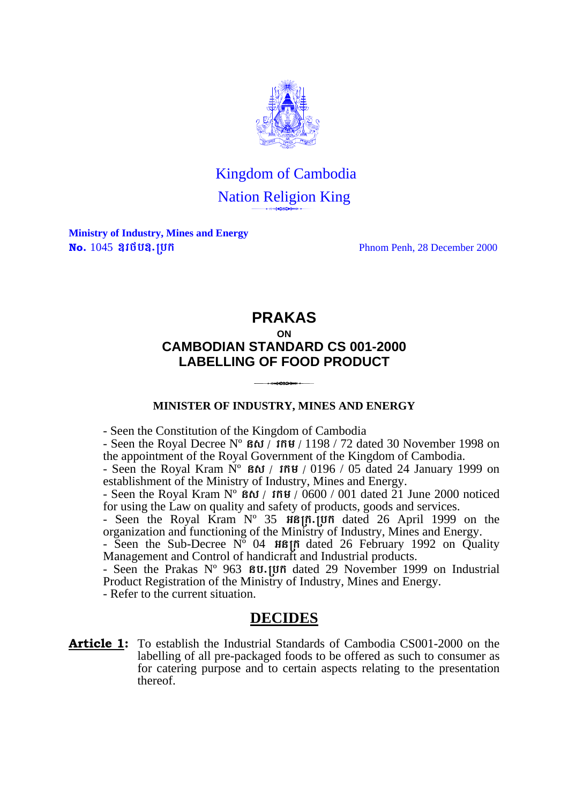

 Kingdom of Cambodia Nation Religion King

**Ministry of Industry, Mines and Energy No.** 1045 **21602.1017 No.** 1045 **2000** 

# **PRAKAS**

# **ON**

# **CAMBODIAN STANDARD CS 001-2000 LABELLING OF FOOD PRODUCT**

# **MINISTER OF INDUSTRY, MINES AND ENERGY**

—— + **H={©3D}=#**<br>-—— + H**={©3D}=#** 

- Seen the Constitution of the Kingdom of Cambodia

- Seen the Royal Decree N°  $\beta$  of / in  $\beta$  / 1198 / 72 dated 30 November 1998 on the appointment of the Royal Government of the Kingdom of Cambodia.

- Seen the Royal Kram N°  $\beta$  and /  $\beta$  1  $\beta$  1  $\beta$  1  $\beta$  1  $\beta$  1  $\beta$  1  $\beta$  1  $\beta$  1  $\beta$  1  $\beta$  1  $\beta$  1  $\beta$  1  $\beta$  1  $\beta$  1  $\beta$  1  $\beta$  1  $\beta$  1  $\beta$  1  $\beta$  1  $\beta$  1  $\beta$  1  $\beta$  1  $\beta$  1  $\beta$  1  $\beta$  1  $\beta$  1  $\beta$ establishment of the Ministry of Industry, Mines and Energy.

- Seen the Royal Kram N°  $\beta$  of  $\frac{1}{100}$  / 0600 / 001 dated 21 June 2000 noticed for using the Law on quality and safety of products, goods and services.

- Seen the Royal Kram  $N^{\circ}$  35  $\hat{H}$ s and  $\hat{R}$  and  $\hat{R}$  26 April 1999 on the organization and functioning of the Ministry of Industry, Mines and Energy.

- Seen the Sub-Decree  $N^6$  04 **HS** $\uparrow$ n dated 26 February 1992 on Quality Management and Control of handicraft and Industrial products.

- Seen the Prakas N° 963  $\boldsymbol{\beta}$  ated 29 November 1999 on Industrial Product Registration of the Ministry of Industry, Mines and Energy.

- Refer to the current situation.

# **DECIDES**

**Article 1:** To establish the Industrial Standards of Cambodia CS001-2000 on the labelling of all pre-packaged foods to be offered as such to consumer as for catering purpose and to certain aspects relating to the presentation thereof.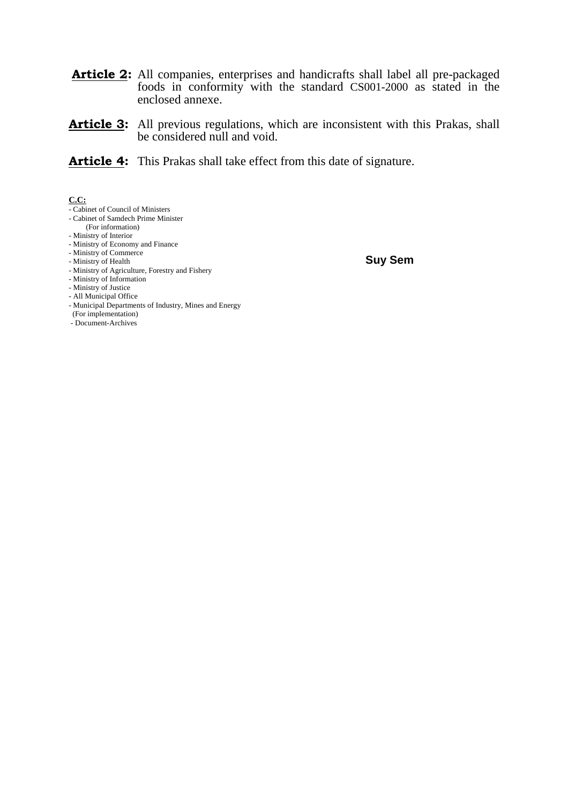- **Article 2:** All companies, enterprises and handicrafts shall label all pre-packaged foods in conformity with the standard CS001-2000 as stated in the enclosed annexe.
- **Article 3:** All previous regulations, which are inconsistent with this Prakas, shall be considered null and void.

# **Article 4:** This Prakas shall take effect from this date of signature.

#### **C.C:**

- Cabinet of Council of Ministers
- Cabinet of Samdech Prime Minister
- (For information)- Ministry of Interior
- Ministry of Economy and Finance
- Ministry of Commerce
- Ministry of Health<br>
Ministry of Health
- Ministry of Agriculture, Forestry and Fishery
- Ministry of Information
- Ministry of Justice

- All Municipal Office

- Municipal Departments of Industry, Mines and Energy
- (For implementation)
- Document-Archives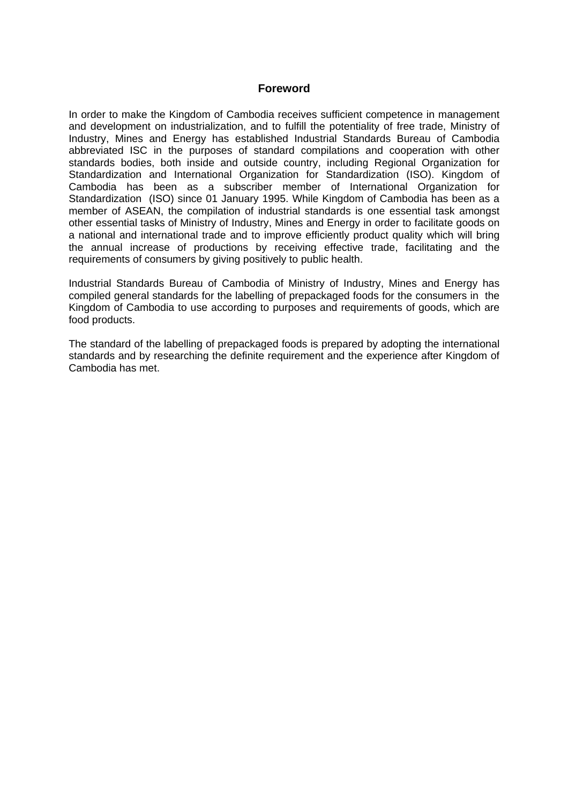### **Foreword**

In order to make the Kingdom of Cambodia receives sufficient competence in management and development on industrialization, and to fulfill the potentiality of free trade, Ministry of Industry, Mines and Energy has established Industrial Standards Bureau of Cambodia abbreviated ISC in the purposes of standard compilations and cooperation with other standards bodies, both inside and outside country, including Regional Organization for Standardization and International Organization for Standardization (ISO). Kingdom of Cambodia has been as a subscriber member of International Organization for Standardization (ISO) since 01 January 1995. While Kingdom of Cambodia has been as a member of ASEAN, the compilation of industrial standards is one essential task amongst other essential tasks of Ministry of Industry, Mines and Energy in order to facilitate goods on a national and international trade and to improve efficiently product quality which will bring the annual increase of productions by receiving effective trade, facilitating and the requirements of consumers by giving positively to public health.

Industrial Standards Bureau of Cambodia of Ministry of Industry, Mines and Energy has compiled general standards for the labelling of prepackaged foods for the consumers in the Kingdom of Cambodia to use according to purposes and requirements of goods, which are food products.

The standard of the labelling of prepackaged foods is prepared by adopting the international standards and by researching the definite requirement and the experience after Kingdom of Cambodia has met.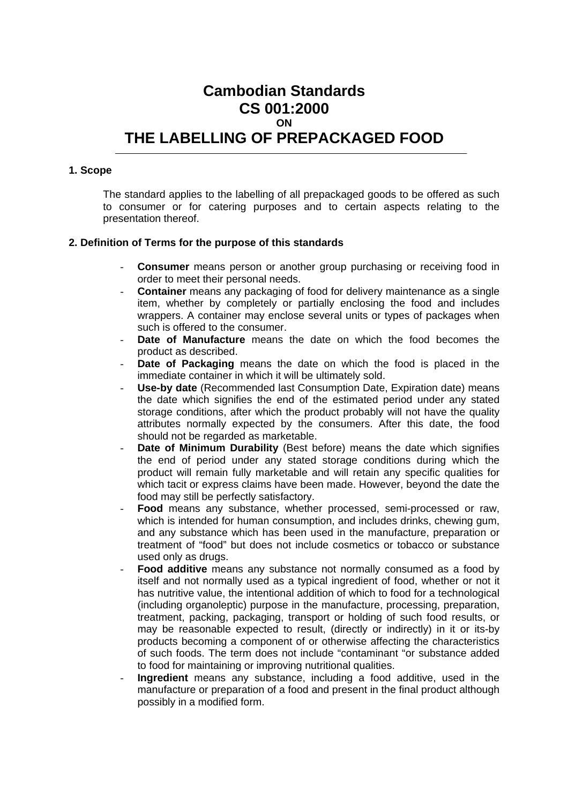# **Cambodian Standards CS 001:2000 ON THE LABELLING OF PREPACKAGED FOOD**

### **1. Scope**

The standard applies to the labelling of all prepackaged goods to be offered as such to consumer or for catering purposes and to certain aspects relating to the presentation thereof.

# **2. Definition of Terms for the purpose of this standards**

- **Consumer** means person or another group purchasing or receiving food in order to meet their personal needs.
- **Container** means any packaging of food for delivery maintenance as a single item, whether by completely or partially enclosing the food and includes wrappers. A container may enclose several units or types of packages when such is offered to the consumer.
- **Date of Manufacture** means the date on which the food becomes the product as described.
- **Date of Packaging** means the date on which the food is placed in the immediate container in which it will be ultimately sold.
- **Use-by date** (Recommended last Consumption Date, Expiration date) means the date which signifies the end of the estimated period under any stated storage conditions, after which the product probably will not have the quality attributes normally expected by the consumers. After this date, the food should not be regarded as marketable.
- **Date of Minimum Durability** (Best before) means the date which signifies the end of period under any stated storage conditions during which the product will remain fully marketable and will retain any specific qualities for which tacit or express claims have been made. However, beyond the date the food may still be perfectly satisfactory.
- **Food** means any substance, whether processed, semi-processed or raw, which is intended for human consumption, and includes drinks, chewing gum, and any substance which has been used in the manufacture, preparation or treatment of "food" but does not include cosmetics or tobacco or substance used only as drugs.
- Food additive means any substance not normally consumed as a food by itself and not normally used as a typical ingredient of food, whether or not it has nutritive value, the intentional addition of which to food for a technological (including organoleptic) purpose in the manufacture, processing, preparation, treatment, packing, packaging, transport or holding of such food results, or may be reasonable expected to result, (directly or indirectly) in it or its-by products becoming a component of or otherwise affecting the characteristics of such foods. The term does not include "contaminant "or substance added to food for maintaining or improving nutritional qualities.
- **Ingredient** means any substance, including a food additive, used in the manufacture or preparation of a food and present in the final product although possibly in a modified form.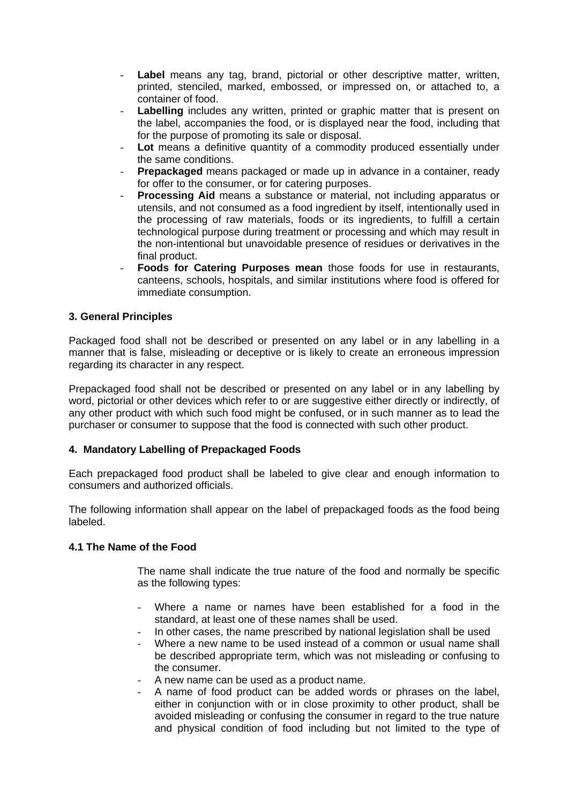- **Label** means any tag, brand, pictorial or other descriptive matter, written, printed, stenciled, marked, embossed, or impressed on, or attached to, a container of food.
- Labelling includes any written, printed or graphic matter that is present on the label, accompanies the food, or is displayed near the food, including that for the purpose of promoting its sale or disposal.
- Lot means a definitive quantity of a commodity produced essentially under the same conditions.
- **Prepackaged** means packaged or made up in advance in a container, ready for offer to the consumer, or for catering purposes.
- **Processing Aid means a substance or material, not including apparatus or** utensils, and not consumed as a food ingredient by itself, intentionally used in the processing of raw materials, foods or its ingredients, to fulfill a certain technological purpose during treatment or processing and which may result in the non-intentional but unavoidable presence of residues or derivatives in the final product.
- **Foods for Catering Purposes mean** those foods for use in restaurants, canteens, schools, hospitals, and similar institutions where food is offered for immediate consumption.

# **3. General Principles**

Packaged food shall not be described or presented on any label or in any labelling in a manner that is false, misleading or deceptive or is likely to create an erroneous impression regarding its character in any respect.

Prepackaged food shall not be described or presented on any label or in any labelling by word, pictorial or other devices which refer to or are suggestive either directly or indirectly, of any other product with which such food might be confused, or in such manner as to lead the purchaser or consumer to suppose that the food is connected with such other product.

# **4. Mandatory Labelling of Prepackaged Foods**

Each prepackaged food product shall be labeled to give clear and enough information to consumers and authorized officials.

The following information shall appear on the label of prepackaged foods as the food being labeled.

# **4.1 The Name of the Food**

The name shall indicate the true nature of the food and normally be specific as the following types:

- Where a name or names have been established for a food in the standard, at least one of these names shall be used.
- In other cases, the name prescribed by national legislation shall be used
- Where a new name to be used instead of a common or usual name shall be described appropriate term, which was not misleading or confusing to the consumer.
- A new name can be used as a product name.
- A name of food product can be added words or phrases on the label, either in conjunction with or in close proximity to other product, shall be avoided misleading or confusing the consumer in regard to the true nature and physical condition of food including but not limited to the type of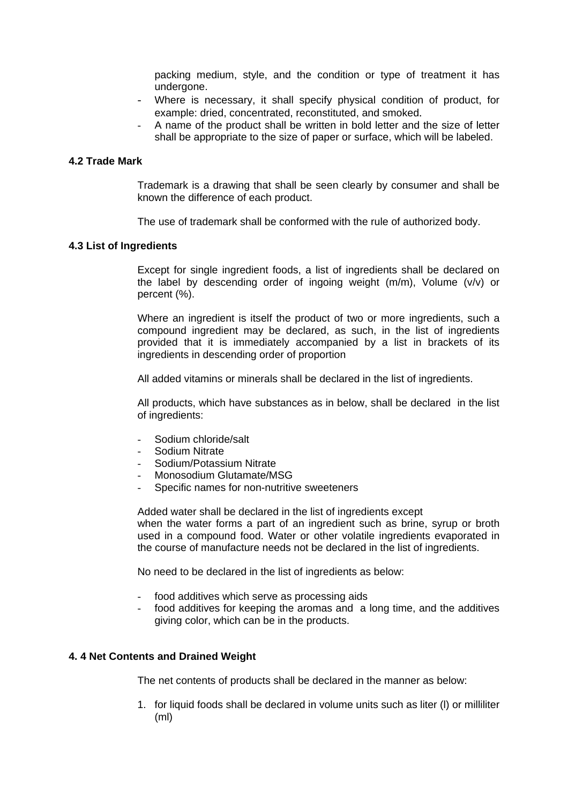packing medium, style, and the condition or type of treatment it has undergone.

- Where is necessary, it shall specify physical condition of product, for example: dried, concentrated, reconstituted, and smoked.
- A name of the product shall be written in bold letter and the size of letter shall be appropriate to the size of paper or surface, which will be labeled.

# **4.2 Trade Mark**

Trademark is a drawing that shall be seen clearly by consumer and shall be known the difference of each product.

The use of trademark shall be conformed with the rule of authorized body.

# **4.3 List of Ingredients**

Except for single ingredient foods, a list of ingredients shall be declared on the label by descending order of ingoing weight (m/m), Volume (v/v) or percent (%).

Where an ingredient is itself the product of two or more ingredients, such a compound ingredient may be declared, as such, in the list of ingredients provided that it is immediately accompanied by a list in brackets of its ingredients in descending order of proportion

All added vitamins or minerals shall be declared in the list of ingredients.

All products, which have substances as in below, shall be declared in the list of ingredients:

- Sodium chloride/salt
- Sodium Nitrate
- Sodium/Potassium Nitrate
- Monosodium Glutamate/MSG
- Specific names for non-nutritive sweeteners

Added water shall be declared in the list of ingredients except when the water forms a part of an ingredient such as brine, syrup or broth used in a compound food. Water or other volatile ingredients evaporated in the course of manufacture needs not be declared in the list of ingredients.

No need to be declared in the list of ingredients as below:

- food additives which serve as processing aids
- food additives for keeping the aromas and a long time, and the additives giving color, which can be in the products.

# **4. 4 Net Contents and Drained Weight**

The net contents of products shall be declared in the manner as below:

1. for liquid foods shall be declared in volume units such as liter (l) or milliliter (ml)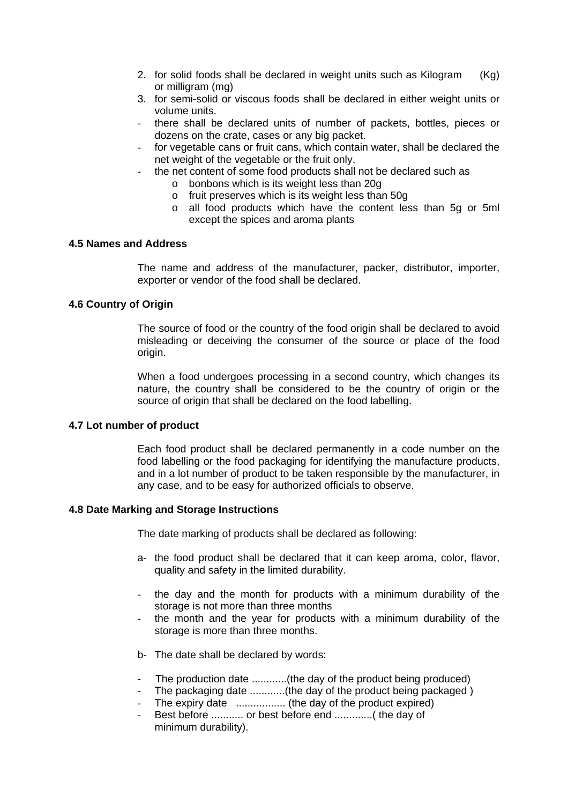- 2. for solid foods shall be declared in weight units such as Kilogram (Kg) or milligram (mg)
- 3. for semi-solid or viscous foods shall be declared in either weight units or volume units.
- there shall be declared units of number of packets, bottles, pieces or dozens on the crate, cases or any big packet.
- for vegetable cans or fruit cans, which contain water, shall be declared the net weight of the vegetable or the fruit only.
- the net content of some food products shall not be declared such as
	- o bonbons which is its weight less than 20g
	- o fruit preserves which is its weight less than 50g
	- o all food products which have the content less than 5g or 5ml except the spices and aroma plants

#### **4.5 Names and Address**

The name and address of the manufacturer, packer, distributor, importer, exporter or vendor of the food shall be declared.

# **4.6 Country of Origin**

The source of food or the country of the food origin shall be declared to avoid misleading or deceiving the consumer of the source or place of the food origin.

When a food undergoes processing in a second country, which changes its nature, the country shall be considered to be the country of origin or the source of origin that shall be declared on the food labelling.

#### **4.7 Lot number of product**

Each food product shall be declared permanently in a code number on the food labelling or the food packaging for identifying the manufacture products, and in a lot number of product to be taken responsible by the manufacturer, in any case, and to be easy for authorized officials to observe.

#### **4.8 Date Marking and Storage Instructions**

The date marking of products shall be declared as following:

- a- the food product shall be declared that it can keep aroma, color, flavor, quality and safety in the limited durability.
- the day and the month for products with a minimum durability of the storage is not more than three months
- the month and the year for products with a minimum durability of the storage is more than three months.
- b- The date shall be declared by words:
- The production date .............(the day of the product being produced)
- The packaging date .............(the day of the product being packaged)
- The expiry date ................. (the day of the product expired)
- Best before ........... or best before end .............. (the day of minimum durability).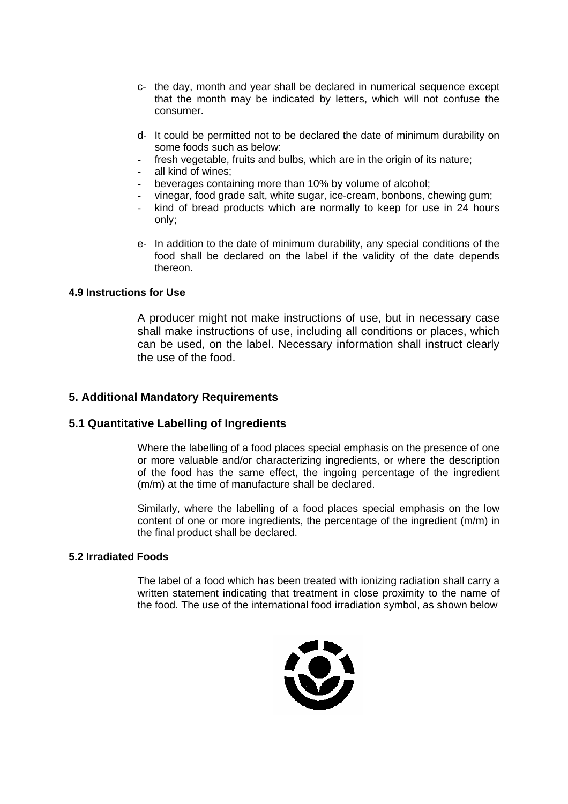- c- the day, month and year shall be declared in numerical sequence except that the month may be indicated by letters, which will not confuse the consumer.
- d- It could be permitted not to be declared the date of minimum durability on some foods such as below:
- fresh vegetable, fruits and bulbs, which are in the origin of its nature;
- all kind of wines:
- beverages containing more than 10% by volume of alcohol;
- vinegar, food grade salt, white sugar, ice-cream, bonbons, chewing gum;
- kind of bread products which are normally to keep for use in 24 hours only;
- e- In addition to the date of minimum durability, any special conditions of the food shall be declared on the label if the validity of the date depends thereon.

# **4.9 Instructions for Use**

A producer might not make instructions of use, but in necessary case shall make instructions of use, including all conditions or places, which can be used, on the label. Necessary information shall instruct clearly the use of the food.

# **5. Additional Mandatory Requirements**

#### **5.1 Quantitative Labelling of Ingredients**

Where the labelling of a food places special emphasis on the presence of one or more valuable and/or characterizing ingredients, or where the description of the food has the same effect, the ingoing percentage of the ingredient (m/m) at the time of manufacture shall be declared.

Similarly, where the labelling of a food places special emphasis on the low content of one or more ingredients, the percentage of the ingredient (m/m) in the final product shall be declared.

#### **5.2 Irradiated Foods**

The label of a food which has been treated with ionizing radiation shall carry a written statement indicating that treatment in close proximity to the name of the food. The use of the international food irradiation symbol, as shown below

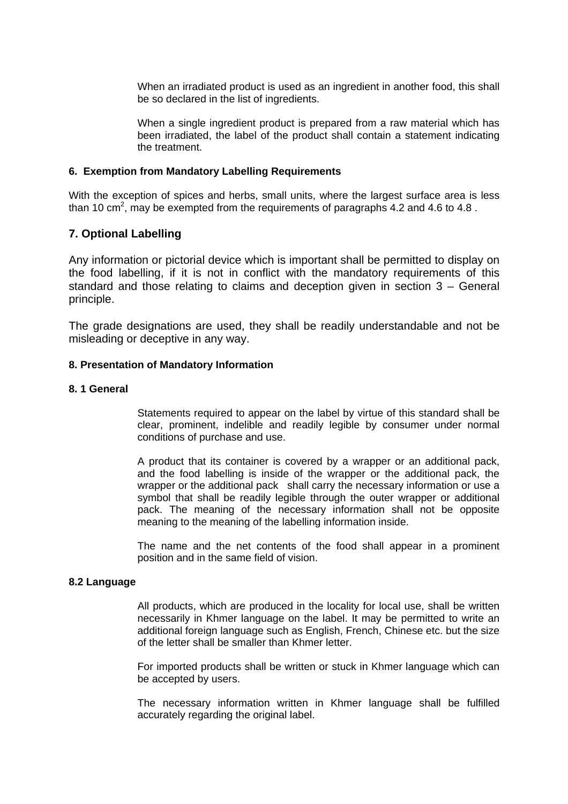When an irradiated product is used as an ingredient in another food, this shall be so declared in the list of ingredients.

When a single ingredient product is prepared from a raw material which has been irradiated, the label of the product shall contain a statement indicating the treatment.

### **6. Exemption from Mandatory Labelling Requirements**

With the exception of spices and herbs, small units, where the largest surface area is less than 10 cm<sup>2</sup>, may be exempted from the requirements of paragraphs 4.2 and 4.6 to 4.8.

# **7. Optional Labelling**

Any information or pictorial device which is important shall be permitted to display on the food labelling, if it is not in conflict with the mandatory requirements of this standard and those relating to claims and deception given in section 3 – General principle.

The grade designations are used, they shall be readily understandable and not be misleading or deceptive in any way.

# **8. Presentation of Mandatory Information**

# **8. 1 General**

Statements required to appear on the label by virtue of this standard shall be clear, prominent, indelible and readily legible by consumer under normal conditions of purchase and use.

A product that its container is covered by a wrapper or an additional pack, and the food labelling is inside of the wrapper or the additional pack, the wrapper or the additional pack shall carry the necessary information or use a symbol that shall be readily legible through the outer wrapper or additional pack. The meaning of the necessary information shall not be opposite meaning to the meaning of the labelling information inside.

The name and the net contents of the food shall appear in a prominent position and in the same field of vision.

#### **8.2 Language**

All products, which are produced in the locality for local use, shall be written necessarily in Khmer language on the label. It may be permitted to write an additional foreign language such as English, French, Chinese etc. but the size of the letter shall be smaller than Khmer letter.

For imported products shall be written or stuck in Khmer language which can be accepted by users.

The necessary information written in Khmer language shall be fulfilled accurately regarding the original label.